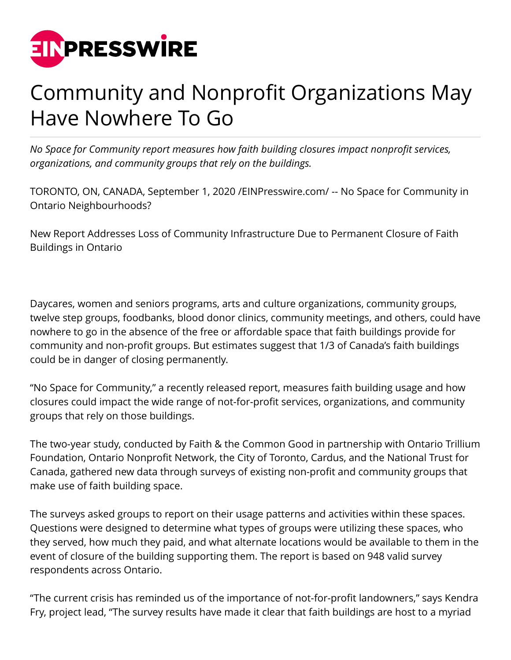

## Community and Nonprofit Organizations May Have Nowhere To Go

*No Space for Community report measures how faith building closures impact nonprofit services, organizations, and community groups that rely on the buildings.*

TORONTO, ON, CANADA, September 1, 2020 /[EINPresswire.com/](http://www.einpresswire.com) -- No Space for Community in Ontario Neighbourhoods?

New Report Addresses Loss of Community Infrastructure Due to Permanent Closure of Faith Buildings in Ontario

Daycares, women and seniors programs, arts and culture organizations, community groups, twelve step groups, foodbanks, blood donor clinics, community meetings, and others, could have nowhere to go in the absence of the free or affordable space that faith buildings provide for community and non-profit groups. But estimates suggest that 1/3 of Canada's faith buildings could be in danger of closing permanently.

"No Space for Community," a recently released report, measures faith building usage and how closures could impact the wide range of not-for-profit services, organizations, and community groups that rely on those buildings.

The two-year study, conducted by Faith & the Common Good in partnership with Ontario Trillium Foundation, Ontario Nonprofit Network, the City of Toronto, Cardus, and the National Trust for Canada, gathered new data through surveys of existing non-profit and community groups that make use of faith building space.

The surveys asked groups to report on their usage patterns and activities within these spaces. Questions were designed to determine what types of groups were utilizing these spaces, who they served, how much they paid, and what alternate locations would be available to them in the event of closure of the building supporting them. The report is based on 948 valid survey respondents across Ontario.

"The current crisis has reminded us of the importance of not-for-profit landowners," says Kendra Fry, project lead, "The survey results have made it clear that faith buildings are host to a myriad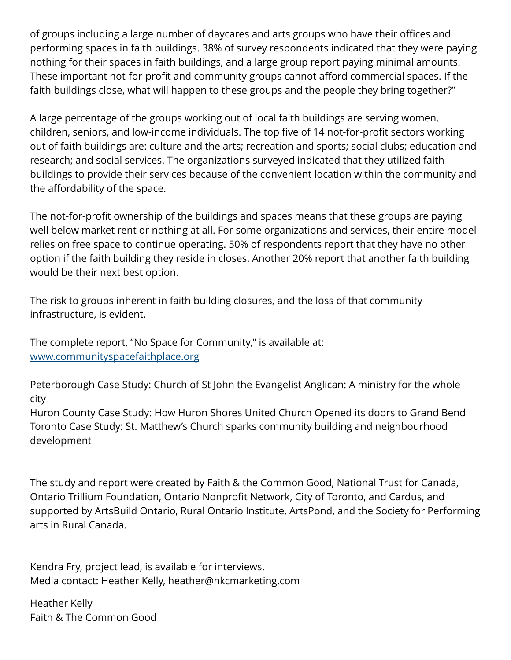of groups including a large number of daycares and arts groups who have their offices and performing spaces in faith buildings. 38% of survey respondents indicated that they were paying nothing for their spaces in faith buildings, and a large group report paying minimal amounts. These important not-for-profit and community groups cannot afford commercial spaces. If the faith buildings close, what will happen to these groups and the people they bring together?"

A large percentage of the groups working out of local faith buildings are serving women, children, seniors, and low-income individuals. The top five of 14 not-for-profit sectors working out of faith buildings are: culture and the arts; recreation and sports; social clubs; education and research; and social services. The organizations surveyed indicated that they utilized faith buildings to provide their services because of the convenient location within the community and the affordability of the space.

The not-for-profit ownership of the buildings and spaces means that these groups are paying well below market rent or nothing at all. For some organizations and services, their entire model relies on free space to continue operating. 50% of respondents report that they have no other option if the faith building they reside in closes. Another 20% report that another faith building would be their next best option.

The risk to groups inherent in faith building closures, and the loss of that community infrastructure, is evident.

The complete report, "No Space for Community," is available at: [www.communityspacefaithplace.org](http://www.communityspacefaithplace.org)

Peterborough Case Study: Church of St John the Evangelist Anglican: A ministry for the whole city

Huron County Case Study: How Huron Shores United Church Opened its doors to Grand Bend Toronto Case Study: St. Matthew's Church sparks community building and neighbourhood development

The study and report were created by Faith & the Common Good, National Trust for Canada, Ontario Trillium Foundation, Ontario Nonprofit Network, City of Toronto, and Cardus, and supported by ArtsBuild Ontario, Rural Ontario Institute, ArtsPond, and the Society for Performing arts in Rural Canada.

Kendra Fry, project lead, is available for interviews. Media contact: Heather Kelly, heather@hkcmarketing.com

Heather Kelly Faith & The Common Good